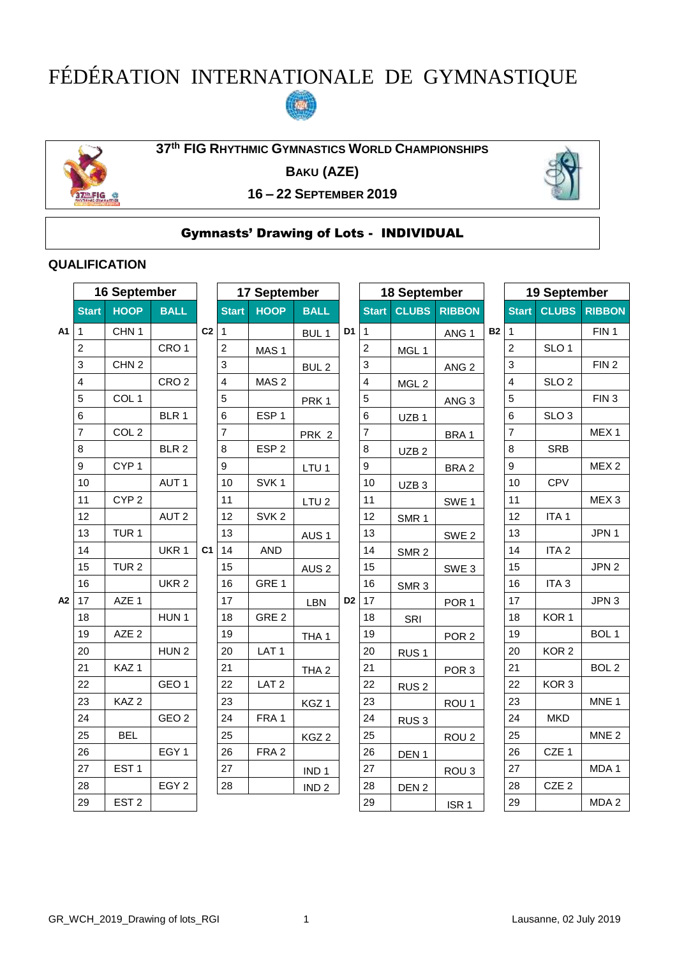# FÉDÉRATION INTERNATIONALE DE GYMNASTIQUE





**th FIG RHYTHMIC GYMNASTICS WORLD CHAMPIONSHIPS**

**BAKU (AZE)**



**– 22 SEPTEMBER 2019**

# Gymnasts' Drawing of Lots - INDIVIDUAL

### **QUALIFICATION**

|    | 16 September     |                  |                  | 17 September   |                |                  |                  | 18 September   |                |                  |                  | 19 September |                |                  |                  |
|----|------------------|------------------|------------------|----------------|----------------|------------------|------------------|----------------|----------------|------------------|------------------|--------------|----------------|------------------|------------------|
|    | <b>Start</b>     | <b>HOOP</b>      | <b>BALL</b>      |                | <b>Start</b>   | <b>HOOP</b>      | <b>BALL</b>      |                | <b>Start</b>   | <b>CLUBS</b>     | <b>RIBBON</b>    |              | <b>Start</b>   | <b>CLUBS</b>     | <b>RIBBON</b>    |
| A1 | $\overline{1}$   | CHN <sub>1</sub> |                  | C <sub>2</sub> | $\mathbf{1}$   |                  | BUL <sub>1</sub> | D <sub>1</sub> | 1              |                  | ANG <sub>1</sub> | <b>B2</b>    | $\mathbf{1}$   |                  | FIN <sub>1</sub> |
|    | 2                |                  | CRO <sub>1</sub> |                | 2              | MAS <sub>1</sub> |                  |                | 2              | MGL 1            |                  |              | $\overline{c}$ | SLO <sub>1</sub> |                  |
|    | 3                | CHN <sub>2</sub> |                  |                | 3              |                  | BUL <sub>2</sub> |                | 3              |                  | ANG <sub>2</sub> |              | 3              |                  | FIN <sub>2</sub> |
|    | 4                |                  | CRO <sub>2</sub> |                | 4              | MAS <sub>2</sub> |                  |                | 4              | MGL <sub>2</sub> |                  |              | 4              | SLO <sub>2</sub> |                  |
|    | $\sqrt{5}$       | COL <sub>1</sub> |                  |                | 5              |                  | PRK <sub>1</sub> |                | 5              |                  | ANG <sub>3</sub> |              | 5              |                  | FIN <sub>3</sub> |
|    | 6                |                  | BLR 1            |                | 6              | ESP <sub>1</sub> |                  |                | 6              | UZB <sub>1</sub> |                  |              | 6              | SLO <sub>3</sub> |                  |
|    | $\overline{7}$   | COL <sub>2</sub> |                  |                | $\overline{7}$ |                  | PRK 2            |                | $\overline{7}$ |                  | BRA 1            |              | $\overline{7}$ |                  | MEX <sub>1</sub> |
|    | 8                |                  | BLR 2            |                | 8              | ESP <sub>2</sub> |                  |                | 8              | UZB <sub>2</sub> |                  |              | 8              | <b>SRB</b>       |                  |
|    | $\boldsymbol{9}$ | CYP <sub>1</sub> |                  |                | 9              |                  | LTU <sub>1</sub> |                | 9              |                  | BRA <sub>2</sub> |              | 9              |                  | MEX <sub>2</sub> |
|    | 10               |                  | AUT <sub>1</sub> |                | 10             | SVK <sub>1</sub> |                  |                | 10             | UZB <sub>3</sub> |                  |              | 10             | <b>CPV</b>       |                  |
|    | 11               | CYP <sub>2</sub> |                  |                | 11             |                  | LTU <sub>2</sub> |                | 11             |                  | SWE 1            |              | 11             |                  | MEX <sub>3</sub> |
|    | 12               |                  | AUT <sub>2</sub> |                | 12             | SVK <sub>2</sub> |                  |                | 12             | SMR <sub>1</sub> |                  |              | 12             | ITA <sub>1</sub> |                  |
|    | 13               | TUR <sub>1</sub> |                  |                | 13             |                  | AUS <sub>1</sub> |                | 13             |                  | SWE <sub>2</sub> |              | 13             |                  | JPN 1            |
|    | 14               |                  | UKR 1            | C <sub>1</sub> | 14             | <b>AND</b>       |                  |                | 14             | SMR <sub>2</sub> |                  |              | 14             | ITA <sub>2</sub> |                  |
|    | 15               | TUR <sub>2</sub> |                  |                | 15             |                  | AUS <sub>2</sub> |                | 15             |                  | SWE <sub>3</sub> |              | 15             |                  | JPN <sub>2</sub> |
|    | 16               |                  | UKR <sub>2</sub> |                | 16             | GRE 1            |                  |                | 16             | SMR <sub>3</sub> |                  |              | 16             | ITA <sub>3</sub> |                  |
| A2 | 17               | AZE 1            |                  |                | 17             |                  | <b>LBN</b>       | D <sub>2</sub> | 17             |                  | POR <sub>1</sub> |              | 17             |                  | JPN 3            |
|    | 18               |                  | HUN <sub>1</sub> |                | 18             | GRE <sub>2</sub> |                  |                | 18             | SRI              |                  |              | 18             | KOR <sub>1</sub> |                  |
|    | 19               | AZE <sub>2</sub> |                  |                | 19             |                  | THA <sub>1</sub> |                | 19             |                  | POR <sub>2</sub> |              | 19             |                  | BOL 1            |
|    | 20               |                  | HUN <sub>2</sub> |                | 20             | LAT <sub>1</sub> |                  |                | 20             | RUS <sub>1</sub> |                  |              | 20             | KOR <sub>2</sub> |                  |
|    | 21               | KAZ <sub>1</sub> |                  |                | 21             |                  | THA <sub>2</sub> |                | 21             |                  | POR <sub>3</sub> |              | 21             |                  | BOL <sub>2</sub> |
|    | 22               |                  | GEO <sub>1</sub> |                | 22             | LAT <sub>2</sub> |                  |                | 22             | RUS <sub>2</sub> |                  |              | 22             | KOR <sub>3</sub> |                  |
|    | 23               | KAZ <sub>2</sub> |                  |                | 23             |                  | KGZ <sub>1</sub> |                | 23             |                  | ROU <sub>1</sub> |              | 23             |                  | MNE <sub>1</sub> |
|    | 24               |                  | GEO <sub>2</sub> |                | 24             | FRA 1            |                  |                | 24             | RUS <sub>3</sub> |                  |              | 24             | <b>MKD</b>       |                  |
|    | 25               | <b>BEL</b>       |                  |                | 25             |                  | KGZ <sub>2</sub> |                | 25             |                  | ROU <sub>2</sub> |              | 25             |                  | MNE <sub>2</sub> |
|    | 26               |                  | EGY <sub>1</sub> |                | 26             | FRA <sub>2</sub> |                  |                | 26             | DEN <sub>1</sub> |                  |              | 26             | CZE 1            |                  |
|    | 27               | EST <sub>1</sub> |                  |                | 27             |                  | IND <sub>1</sub> |                | 27             |                  | ROU <sub>3</sub> |              | 27             |                  | MDA 1            |
|    | 28               |                  | EGY <sub>2</sub> |                | 28             |                  | IND <sub>2</sub> |                | 28             | DEN <sub>2</sub> |                  |              | 28             | CZE <sub>2</sub> |                  |
|    | 29               | EST <sub>2</sub> |                  |                |                |                  |                  |                | 29             |                  | ISR <sub>1</sub> |              | 29             |                  | MDA 2            |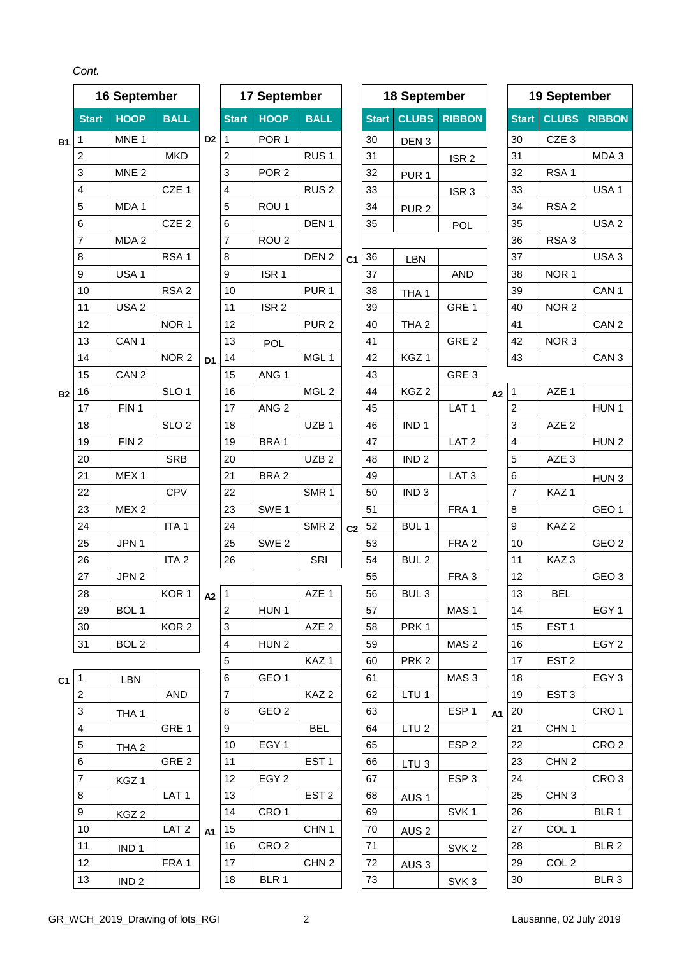*Cont.*

|           |                          | 16 September     |                  |                |                         | 17 September     |                  |                |              | 18 September     |                  |           |              | 19 September     |                  |
|-----------|--------------------------|------------------|------------------|----------------|-------------------------|------------------|------------------|----------------|--------------|------------------|------------------|-----------|--------------|------------------|------------------|
|           | <b>Start</b>             | <b>HOOP</b>      | <b>BALL</b>      |                | <b>Start</b>            | <b>HOOP</b>      | <b>BALL</b>      |                | <b>Start</b> | <b>CLUBS</b>     | <b>RIBBON</b>    |           | <b>Start</b> | <b>CLUBS</b>     | <b>RIBBON</b>    |
| <b>B1</b> | 1                        | MNE <sub>1</sub> |                  | D <sub>2</sub> | 1                       | POR <sub>1</sub> |                  |                | 30           | DEN <sub>3</sub> |                  |           | 30           | CZE <sub>3</sub> |                  |
|           | $\overline{c}$           |                  | <b>MKD</b>       |                | $\overline{c}$          |                  | RUS <sub>1</sub> |                | 31           |                  | ISR <sub>2</sub> |           | 31           |                  | MDA 3            |
|           | 3                        | MNE <sub>2</sub> |                  |                | 3                       | POR <sub>2</sub> |                  |                | 32           | PUR <sub>1</sub> |                  |           | 32           | RSA <sub>1</sub> |                  |
|           | 4                        |                  | CZE 1            |                | 4                       |                  | RUS <sub>2</sub> |                | 33           |                  | ISR <sub>3</sub> |           | 33           |                  | USA <sub>1</sub> |
|           | 5                        | MDA 1            |                  |                | 5                       | ROU <sub>1</sub> |                  |                | 34           | PUR <sub>2</sub> |                  |           | 34           | RSA <sub>2</sub> |                  |
|           | 6                        |                  | CZE <sub>2</sub> |                | 6                       |                  | DEN <sub>1</sub> |                | 35           |                  | <b>POL</b>       |           | 35           |                  | USA <sub>2</sub> |
|           | 7                        | MDA 2            |                  |                | 7                       | ROU <sub>2</sub> |                  |                |              |                  |                  |           | 36           | RSA <sub>3</sub> |                  |
|           | 8                        |                  | RSA <sub>1</sub> |                | 8                       |                  | DEN <sub>2</sub> | C <sub>1</sub> | 36           | LBN              |                  |           | 37           |                  | USA <sub>3</sub> |
|           | 9                        | USA <sub>1</sub> |                  |                | 9                       | ISR <sub>1</sub> |                  |                | 37           |                  | <b>AND</b>       |           | 38           | NOR 1            |                  |
|           | 10                       |                  | RSA <sub>2</sub> |                | 10                      |                  | PUR <sub>1</sub> |                | 38           | THA <sub>1</sub> |                  |           | 39           |                  | CAN <sub>1</sub> |
|           | 11                       | USA <sub>2</sub> |                  |                | 11                      | ISR <sub>2</sub> |                  |                | 39           |                  | GRE 1            |           | 40           | NOR <sub>2</sub> |                  |
|           | 12                       |                  | NOR <sub>1</sub> |                | 12                      |                  | PUR <sub>2</sub> |                | 40           | THA <sub>2</sub> |                  |           | 41           |                  | CAN <sub>2</sub> |
|           | 13                       | CAN <sub>1</sub> |                  |                | 13                      | <b>POL</b>       |                  |                | 41           |                  | GRE 2            |           | 42           | NOR <sub>3</sub> |                  |
|           | 14                       |                  | NOR <sub>2</sub> | D <sub>1</sub> | 14                      |                  | MGL1             |                | 42           | KGZ <sub>1</sub> |                  |           | 43           |                  | CAN <sub>3</sub> |
|           | 15                       | CAN <sub>2</sub> |                  |                | 15                      | ANG <sub>1</sub> |                  |                | 43           |                  | GRE 3            |           |              |                  |                  |
| <b>B2</b> | 16                       |                  | SLO <sub>1</sub> |                | 16                      |                  | MGL <sub>2</sub> |                | 44           | KGZ <sub>2</sub> |                  | A2        | 1            | AZE 1            |                  |
|           | 17                       | FIN <sub>1</sub> |                  |                | 17                      | ANG <sub>2</sub> |                  |                | 45           |                  | LAT <sub>1</sub> |           | 2            |                  | HUN <sub>1</sub> |
|           | 18                       |                  | SLO <sub>2</sub> |                | 18                      |                  | UZB <sub>1</sub> |                | 46           | IND <sub>1</sub> |                  |           | 3            | AZE <sub>2</sub> |                  |
|           | 19                       | FIN <sub>2</sub> |                  |                | 19                      | BRA 1            |                  |                | 47           |                  | LAT <sub>2</sub> |           | 4            |                  | HUN <sub>2</sub> |
|           | 20                       |                  | <b>SRB</b>       |                | 20                      |                  | UZB <sub>2</sub> |                | 48           | IND <sub>2</sub> |                  |           | 5            | AZE <sub>3</sub> |                  |
|           | 21                       | MEX <sub>1</sub> |                  |                | 21                      | BRA <sub>2</sub> |                  |                | 49           |                  | LAT <sub>3</sub> |           | 6            |                  | HUN <sub>3</sub> |
|           | 22                       |                  | <b>CPV</b>       |                | 22                      |                  | SMR <sub>1</sub> |                | 50           | IND <sub>3</sub> |                  |           | 7            | KAZ <sub>1</sub> |                  |
|           | 23                       | MEX <sub>2</sub> |                  |                | 23                      | SWE <sub>1</sub> |                  |                | 51           |                  | FRA 1            |           | 8            |                  | GEO <sub>1</sub> |
|           | 24                       |                  | ITA <sub>1</sub> |                | 24                      |                  | SMR <sub>2</sub> | C <sub>2</sub> | 52           | BUL <sub>1</sub> |                  |           | 9            | KAZ <sub>2</sub> |                  |
|           | 25                       | JPN 1            |                  |                | 25                      | SWE <sub>2</sub> |                  |                | 53           |                  | FRA <sub>2</sub> |           | 10           |                  | GEO <sub>2</sub> |
|           | 26                       |                  | ITA <sub>2</sub> |                | 26                      |                  | SRI              |                | 54           | BUL <sub>2</sub> |                  |           | 11           | KAZ <sub>3</sub> |                  |
|           | 27                       | JPN <sub>2</sub> |                  |                |                         |                  |                  |                | 55           |                  | FRA <sub>3</sub> |           | 12           |                  | GEO <sub>3</sub> |
|           | 28                       |                  | KOR 1            | $A2$ 1         |                         |                  | AZE 1            |                | 56           | BUL <sub>3</sub> |                  |           | 13           | <b>BEL</b>       |                  |
|           | 29                       | BOL 1            |                  |                | $\overline{2}$          | HUN <sub>1</sub> |                  |                | 57           |                  | MAS <sub>1</sub> |           | 14           |                  | EGY <sub>1</sub> |
|           | 30                       |                  | KOR <sub>2</sub> |                | $\mathbf{3}$            |                  | AZE <sub>2</sub> |                | 58           | PRK <sub>1</sub> |                  |           | 15           | EST <sub>1</sub> |                  |
|           | 31                       | BOL <sub>2</sub> |                  |                | $\overline{\mathbf{4}}$ | HUN <sub>2</sub> |                  |                | 59           |                  | MAS <sub>2</sub> |           | 16           |                  | EGY <sub>2</sub> |
|           |                          |                  |                  |                | 5                       |                  | KAZ <sub>1</sub> |                | 60           | PRK <sub>2</sub> |                  |           | 17           | EST <sub>2</sub> |                  |
| C1        | $\vert$ 1                | LBN              |                  |                | 6                       | GEO <sub>1</sub> |                  |                | 61           |                  | MAS <sub>3</sub> |           | 18           |                  | EGY <sub>3</sub> |
|           | $\overline{2}$           |                  | <b>AND</b>       |                | $\overline{7}$          |                  | KAZ <sub>2</sub> |                | 62           | LTU <sub>1</sub> |                  |           | 19           | EST <sub>3</sub> |                  |
|           | 3                        | THA 1            |                  |                | 8                       | GEO <sub>2</sub> |                  |                | 63           |                  | ESP <sub>1</sub> | <b>A1</b> | 20           |                  | CRO <sub>1</sub> |
|           | $\overline{\mathbf{4}}$  |                  | GRE 1            |                | 9                       |                  | <b>BEL</b>       |                | 64           | LTU <sub>2</sub> |                  |           | 21           | CHN <sub>1</sub> |                  |
|           | $\sqrt{5}$               | THA <sub>2</sub> |                  |                | 10                      | EGY <sub>1</sub> |                  |                | 65           |                  | ESP <sub>2</sub> |           | 22           |                  | CRO <sub>2</sub> |
|           | 6                        |                  | GRE 2            |                | 11                      |                  | EST <sub>1</sub> |                | 66           | LTU <sub>3</sub> |                  |           | 23           | CHN <sub>2</sub> |                  |
|           | $\overline{\mathcal{I}}$ | KGZ 1            |                  |                | 12                      | EGY <sub>2</sub> |                  |                | 67           |                  | ESP <sub>3</sub> |           | 24           |                  | CRO <sub>3</sub> |
|           | 8                        |                  | LAT <sub>1</sub> |                | 13                      |                  | EST <sub>2</sub> |                | 68           | AUS <sub>1</sub> |                  |           | 25           | CHN <sub>3</sub> |                  |
|           | 9                        | KGZ <sub>2</sub> |                  |                | 14                      | CRO <sub>1</sub> |                  |                | 69           |                  | SVK <sub>1</sub> |           | 26           |                  | BLR 1            |
|           | 10                       |                  | LAT <sub>2</sub> | <b>A1</b>      | 15                      |                  | CHN <sub>1</sub> |                | 70           | AUS <sub>2</sub> |                  |           | 27           | COL <sub>1</sub> |                  |
|           | 11                       | IND <sub>1</sub> |                  |                | 16                      | CRO <sub>2</sub> |                  |                | 71           |                  | SVK <sub>2</sub> |           | 28           |                  | BLR 2            |
|           | 12                       |                  | FRA 1            |                | 17                      |                  | CHN <sub>2</sub> |                | 72           | AUS <sub>3</sub> |                  |           | 29           | COL <sub>2</sub> |                  |
|           | 13                       | IND <sub>2</sub> |                  |                | 18                      | BLR 1            |                  |                | 73           |                  | SVK <sub>3</sub> |           | 30           |                  | BLR 3            |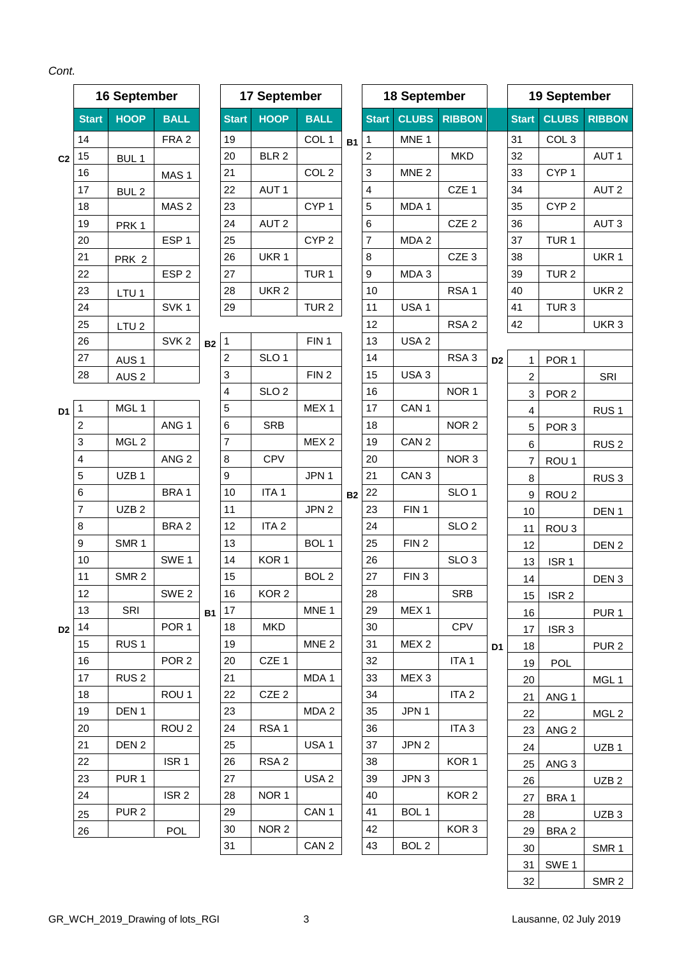|                |              | 16 September     |                  |           |              | 17 September     |                  |           |                  | 18 September     |                  |                |              | 19 September     |                  |
|----------------|--------------|------------------|------------------|-----------|--------------|------------------|------------------|-----------|------------------|------------------|------------------|----------------|--------------|------------------|------------------|
|                | <b>Start</b> | <b>HOOP</b>      | <b>BALL</b>      |           | <b>Start</b> | <b>HOOP</b>      | <b>BALL</b>      |           | <b>Start</b>     | <b>CLUBS</b>     | <b>RIBBON</b>    |                | <b>Start</b> | <b>CLUBS</b>     | <b>RIBBON</b>    |
|                | 14           |                  | FRA <sub>2</sub> |           | 19           |                  | COL <sub>1</sub> | <b>B1</b> | 1                | MNE <sub>1</sub> |                  |                | 31           | COL <sub>3</sub> |                  |
| C <sub>2</sub> | 15           | BUL <sub>1</sub> |                  |           | 20           | BLR <sub>2</sub> |                  |           | $\overline{2}$   |                  | <b>MKD</b>       |                | 32           |                  | AUT <sub>1</sub> |
|                | 16           |                  | MAS <sub>1</sub> |           | 21           |                  | COL <sub>2</sub> |           | 3                | MNE <sub>2</sub> |                  |                | 33           | CYP <sub>1</sub> |                  |
|                | 17           | BUL <sub>2</sub> |                  |           | 22           | AUT <sub>1</sub> |                  |           | 4                |                  | CZE 1            |                | 34           |                  | AUT <sub>2</sub> |
|                | 18           |                  | MAS <sub>2</sub> |           | 23           |                  | CYP <sub>1</sub> |           | 5                | MDA 1            |                  |                | 35           | CYP <sub>2</sub> |                  |
|                | 19           | PRK <sub>1</sub> |                  |           | 24           | AUT <sub>2</sub> |                  |           | $\,6$            |                  | CZE <sub>2</sub> |                | 36           |                  | AUT <sub>3</sub> |
|                | 20           |                  | ESP <sub>1</sub> |           | 25           |                  | CYP <sub>2</sub> |           | $\overline{7}$   | MDA <sub>2</sub> |                  |                | 37           | TUR <sub>1</sub> |                  |
|                | 21           | PRK <sub>2</sub> |                  |           | 26           | UKR 1            |                  |           | 8                |                  | CZE <sub>3</sub> |                | 38           |                  | UKR <sub>1</sub> |
|                | 22           |                  | ESP <sub>2</sub> |           | 27           |                  | TUR <sub>1</sub> |           | $\boldsymbol{9}$ | MDA <sub>3</sub> |                  |                | 39           | TUR <sub>2</sub> |                  |
|                | 23           | LTU <sub>1</sub> |                  |           | 28           | UKR <sub>2</sub> |                  |           | 10               |                  | RSA <sub>1</sub> |                | 40           |                  | UKR <sub>2</sub> |
|                | 24           |                  | SVK <sub>1</sub> |           | 29           |                  | TUR <sub>2</sub> |           | 11               | USA <sub>1</sub> |                  |                | 41           | TUR <sub>3</sub> |                  |
|                | 25           | LTU <sub>2</sub> |                  |           |              |                  |                  |           | 12               |                  | RSA <sub>2</sub> |                | 42           |                  | UKR <sub>3</sub> |
|                | 26           |                  | SVK <sub>2</sub> | <b>B2</b> | $\mathbf{1}$ |                  | FIN <sub>1</sub> |           | 13               | USA <sub>2</sub> |                  |                |              |                  |                  |
|                | 27           | AUS <sub>1</sub> |                  |           | 2            | SLO <sub>1</sub> |                  |           | 14               |                  | RSA <sub>3</sub> | D <sub>2</sub> | 1            | POR <sub>1</sub> |                  |
|                | 28           | AUS <sub>2</sub> |                  |           | 3            |                  | FIN <sub>2</sub> |           | 15               | USA <sub>3</sub> |                  |                | 2            |                  | SRI              |
|                |              |                  |                  |           | 4            | SLO <sub>2</sub> |                  |           | 16               |                  | NOR <sub>1</sub> |                | 3            | POR <sub>2</sub> |                  |
| D <sub>1</sub> | 1            | MGL 1            |                  |           | 5            |                  | MEX <sub>1</sub> |           | 17               | CAN <sub>1</sub> |                  |                | 4            |                  | RUS <sub>1</sub> |
|                | 2            |                  | ANG <sub>1</sub> |           | 6            | <b>SRB</b>       |                  |           | 18               |                  | NOR <sub>2</sub> |                | 5            | POR <sub>3</sub> |                  |
|                | 3            | MGL <sub>2</sub> |                  |           | 7            |                  | MEX <sub>2</sub> |           | 19               | CAN <sub>2</sub> |                  |                | 6            |                  | RUS <sub>2</sub> |
|                | 4            |                  | ANG <sub>2</sub> |           | 8            | CPV              |                  |           | 20               |                  | NOR <sub>3</sub> |                | 7            | ROU <sub>1</sub> |                  |
|                | 5            | UZB <sub>1</sub> |                  |           | 9            |                  | JPN 1            |           | 21               | CAN <sub>3</sub> |                  |                | 8            |                  | RUS <sub>3</sub> |
|                | 6            |                  | BRA1             |           | 10           | ITA <sub>1</sub> |                  | <b>B2</b> | 22               |                  | SLO <sub>1</sub> |                | 9            | ROU <sub>2</sub> |                  |
|                | 7            | UZB <sub>2</sub> |                  |           | 11           |                  | JPN <sub>2</sub> |           | 23               | FIN <sub>1</sub> |                  |                | 10           |                  | DEN <sub>1</sub> |
|                | 8            |                  | BRA <sub>2</sub> |           | 12           | ITA <sub>2</sub> |                  |           | 24               |                  | SLO <sub>2</sub> |                | 11           | ROU <sub>3</sub> |                  |
|                | 9            | SMR <sub>1</sub> |                  |           | 13           |                  | BOL <sub>1</sub> |           | 25               | FIN <sub>2</sub> |                  |                | 12           |                  | DEN <sub>2</sub> |
|                | 10           |                  | SWE <sub>1</sub> |           | 14           | KOR <sub>1</sub> |                  |           | 26               |                  | SLO <sub>3</sub> |                | 13           | ISR <sub>1</sub> |                  |
|                | 11           | SMR <sub>2</sub> |                  |           | 15           |                  | BOL <sub>2</sub> |           | 27               | FIN <sub>3</sub> |                  |                | 14           |                  | DEN <sub>3</sub> |
|                | 12           |                  | SWE <sub>2</sub> |           | 16           | KOR <sub>2</sub> |                  |           | 28               |                  | SRB              |                | 15           | ISR <sub>2</sub> |                  |
|                | 13           | <b>SRI</b>       |                  | B1        | 17           |                  | MNE <sub>1</sub> |           | 29               | MEX <sub>1</sub> |                  |                | 16           |                  | PUR <sub>1</sub> |
|                | $D2$ 14      |                  | POR <sub>1</sub> |           | 18           | <b>MKD</b>       |                  |           | 30               |                  | <b>CPV</b>       |                | 17           | ISR <sub>3</sub> |                  |
|                | 15           | RUS <sub>1</sub> |                  |           | 19           |                  | MNE <sub>2</sub> |           | 31               | MEX <sub>2</sub> |                  | D <sub>1</sub> | 18           |                  | PUR <sub>2</sub> |
|                | 16           |                  | POR <sub>2</sub> |           | 20           | CZE 1            |                  |           | 32               |                  | ITA <sub>1</sub> |                | 19           | POL              |                  |
|                | 17           | RUS <sub>2</sub> |                  |           | 21           |                  | MDA 1            |           | 33               | MEX <sub>3</sub> |                  |                | 20           |                  | MGL 1            |
|                | 18<br>19     | DEN <sub>1</sub> | ROU <sub>1</sub> |           | 22<br>23     | CZE <sub>2</sub> | MDA 2            |           | 34<br>35         | JPN 1            | ITA <sub>2</sub> |                | 21           | ANG <sub>1</sub> |                  |
|                | 20           |                  | ROU <sub>2</sub> |           | 24           | RSA <sub>1</sub> |                  |           | 36               |                  | ITA <sub>3</sub> |                | 22           |                  | MGL 2            |
|                | 21           | DEN <sub>2</sub> |                  |           | 25           |                  | USA <sub>1</sub> |           | 37               | JPN 2            |                  |                | 23           | ANG <sub>2</sub> |                  |
|                | 22           |                  | ISR <sub>1</sub> |           | 26           | RSA <sub>2</sub> |                  |           | 38               |                  | KOR <sub>1</sub> |                | 24           |                  | UZB <sub>1</sub> |
|                | 23           | PUR <sub>1</sub> |                  |           | 27           |                  | USA <sub>2</sub> |           | 39               | JPN 3            |                  |                | 25           | ANG <sub>3</sub> |                  |
|                | 24           |                  | ISR <sub>2</sub> |           | 28           | NOR <sub>1</sub> |                  |           | 40               |                  | KOR <sub>2</sub> |                | 26           |                  | UZB <sub>2</sub> |
|                | 25           | PUR <sub>2</sub> |                  |           | 29           |                  | CAN <sub>1</sub> |           | 41               | BOL <sub>1</sub> |                  |                | 27           | BRA 1            |                  |
|                | 26           |                  | <b>POL</b>       |           | 30           | NOR <sub>2</sub> |                  |           | 42               |                  | KOR <sub>3</sub> |                | 28<br>29     | BRA <sub>2</sub> | UZB <sub>3</sub> |
|                |              |                  |                  |           | 31           |                  | CAN <sub>2</sub> |           | 43               | BOL <sub>2</sub> |                  |                | 30           |                  | SMR <sub>1</sub> |
|                |              |                  |                  |           |              |                  |                  |           |                  |                  |                  |                | 31           | SWE <sub>1</sub> |                  |

SMR 2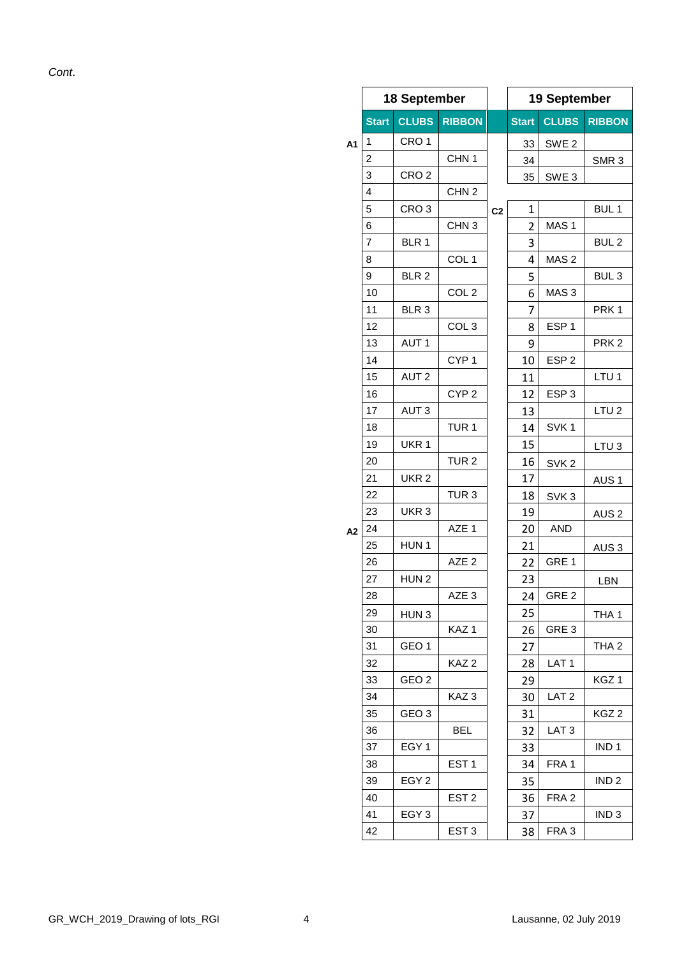*Cont*.

|    |              | 18 September     |                  |                | 19 September |                  |                  |  |  |
|----|--------------|------------------|------------------|----------------|--------------|------------------|------------------|--|--|
|    | <b>Start</b> | <b>CLUBS</b>     | <b>RIBBON</b>    |                | <b>Start</b> | <b>CLUBS</b>     | <b>RIBBON</b>    |  |  |
| A1 | 1            | CRO <sub>1</sub> |                  |                | 33           | SWE <sub>2</sub> |                  |  |  |
|    | 2            |                  | CHN <sub>1</sub> |                | 34           |                  | SMR <sub>3</sub> |  |  |
|    | 3            | CRO <sub>2</sub> |                  |                | 35           | SWE <sub>3</sub> |                  |  |  |
|    | 4            |                  | CHN <sub>2</sub> |                |              |                  |                  |  |  |
|    | 5            | CRO <sub>3</sub> |                  | C <sub>2</sub> | 1            |                  | BUL <sub>1</sub> |  |  |
|    | 6            |                  | CHN <sub>3</sub> |                | 2            | MAS <sub>1</sub> |                  |  |  |
|    | 7            | BLR 1            |                  |                | 3            |                  | BUL <sub>2</sub> |  |  |
|    | 8            |                  | COL <sub>1</sub> |                | 4            | MAS <sub>2</sub> |                  |  |  |
|    | 9            | BLR <sub>2</sub> |                  |                | 5            |                  | BUL <sub>3</sub> |  |  |
|    | 10           |                  | COL <sub>2</sub> |                | 6            | MAS <sub>3</sub> |                  |  |  |
|    | 11           | BLR 3            |                  |                | 7            |                  | PRK <sub>1</sub> |  |  |
|    | 12           |                  | COL <sub>3</sub> |                | 8            | ESP <sub>1</sub> |                  |  |  |
|    | 13           | AUT <sub>1</sub> |                  |                | 9            |                  | PRK <sub>2</sub> |  |  |
|    | 14           |                  | CYP <sub>1</sub> |                | 10           | ESP <sub>2</sub> |                  |  |  |
|    | 15           | AUT <sub>2</sub> |                  |                | 11           |                  | LTU <sub>1</sub> |  |  |
|    | 16           |                  | CYP <sub>2</sub> |                | 12           | ESP <sub>3</sub> |                  |  |  |
|    | 17           | AUT <sub>3</sub> |                  |                | 13           |                  | LTU <sub>2</sub> |  |  |
|    | 18           |                  | TUR <sub>1</sub> |                | 14           | SVK <sub>1</sub> |                  |  |  |
|    | 19           | UKR 1            |                  |                | 15           |                  | LTU <sub>3</sub> |  |  |
|    | 20           |                  | TUR <sub>2</sub> |                | 16           | SVK <sub>2</sub> |                  |  |  |
|    | 21           | UKR <sub>2</sub> |                  |                | 17           |                  | AUS <sub>1</sub> |  |  |
|    | 22           |                  | TUR <sub>3</sub> |                | 18           | SVK <sub>3</sub> |                  |  |  |
|    | 23           | UKR <sub>3</sub> |                  |                | 19           |                  | AUS <sub>2</sub> |  |  |
| A2 | 24           |                  | AZE 1            |                | 20           | <b>AND</b>       |                  |  |  |
|    | 25           | HUN <sub>1</sub> |                  |                | 21           |                  | AUS <sub>3</sub> |  |  |
|    | 26           |                  | AZE <sub>2</sub> |                | 22           | GRE 1            |                  |  |  |
|    | 27           | HUN <sub>2</sub> |                  |                | 23           |                  | LBN              |  |  |
|    | 28           |                  | AZE <sub>3</sub> |                | 24           | GRE <sub>2</sub> |                  |  |  |
|    | 29           | HUN <sub>3</sub> |                  |                | 25           |                  | THA <sub>1</sub> |  |  |
|    | 30           |                  | KAZ <sub>1</sub> |                | 26           | GRE <sub>3</sub> |                  |  |  |
|    | 31           | GEO <sub>1</sub> |                  |                | 27           |                  | THA <sub>2</sub> |  |  |
|    | 32           |                  | KAZ <sub>2</sub> |                | 28           | LAT <sub>1</sub> |                  |  |  |
|    | 33           | GEO <sub>2</sub> |                  |                | 29           |                  | KGZ 1            |  |  |
|    | 34           |                  | KAZ <sub>3</sub> |                | 30           | LAT <sub>2</sub> |                  |  |  |
|    | 35           | GEO 3            |                  |                | 31           |                  | KGZ <sub>2</sub> |  |  |
|    | 36           |                  | BEL              |                | 32           | LAT <sub>3</sub> |                  |  |  |
|    | 37           | EGY <sub>1</sub> |                  |                | 33           |                  | IND <sub>1</sub> |  |  |
|    | 38           |                  | EST <sub>1</sub> |                | 34           | FRA 1            |                  |  |  |
|    | 39           | EGY <sub>2</sub> |                  |                | 35           |                  | IND <sub>2</sub> |  |  |
|    | 40           |                  | EST <sub>2</sub> |                | 36           | FRA <sub>2</sub> |                  |  |  |
|    | 41           | EGY <sub>3</sub> |                  |                | 37           |                  | IND <sub>3</sub> |  |  |
|    | 42           |                  | EST <sub>3</sub> |                | 38           | FRA <sub>3</sub> |                  |  |  |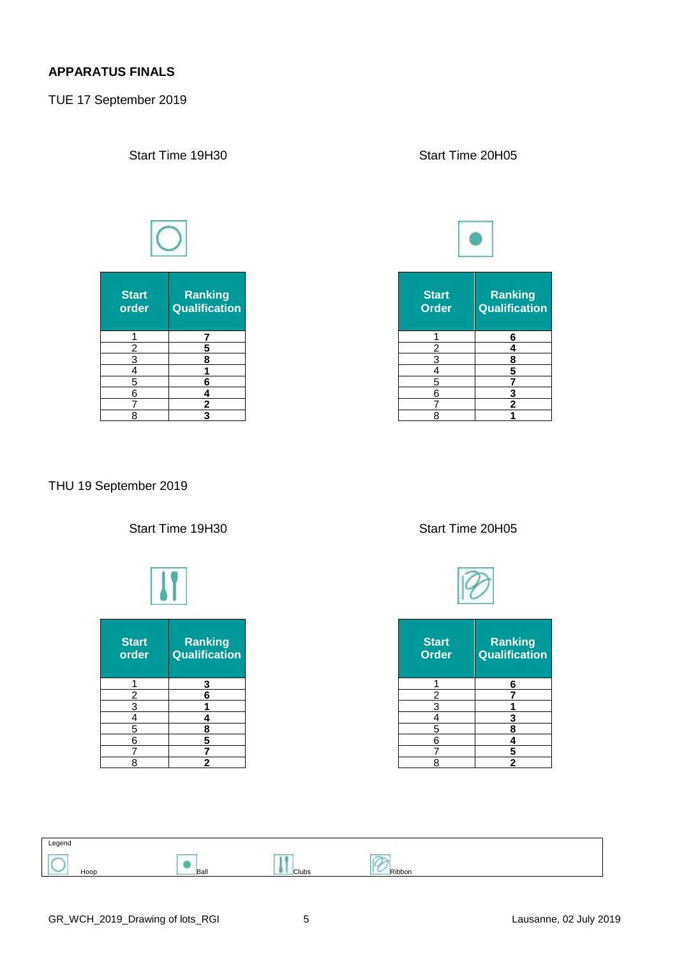#### **APPARATUS FINALS**

TUE 17 September 2019

| <b>Start</b><br>order   | Ranking<br><b>Qualification</b> |
|-------------------------|---------------------------------|
|                         |                                 |
| $\overline{c}$          | 5                               |
| $\overline{\mathbf{3}}$ | 8                               |
| 4                       |                                 |
| 5                       | 6                               |
| 6                       | 4                               |
|                         | 2                               |
|                         |                                 |

### Start Time 19H30 Start Time 20H05



| art<br>der     | <b>Ranking</b><br>Qualification | <b>Start</b><br><b>Order</b> | Ranking<br>Qualification |
|----------------|---------------------------------|------------------------------|--------------------------|
|                |                                 |                              | 6                        |
| $\overline{2}$ |                                 | ົ                            |                          |
| 3              |                                 |                              |                          |
| 4              |                                 |                              |                          |
| 5              |                                 | 5                            |                          |
| 6              |                                 | 6                            | o                        |
|                |                                 |                              |                          |
| 8              |                                 | 8                            |                          |

### THU 19 September 2019



#### Start Time 19H30 Start Time 20H05



| <b>Start</b><br><b>Order</b> | Ranking<br>Qualification |
|------------------------------|--------------------------|
|                              | 6                        |
| $\overline{c}$               |                          |
| 3                            |                          |
| 4                            | 3                        |
| 5                            | 8                        |
| 6                            |                          |
|                              | 5                        |
| Я                            | 2                        |